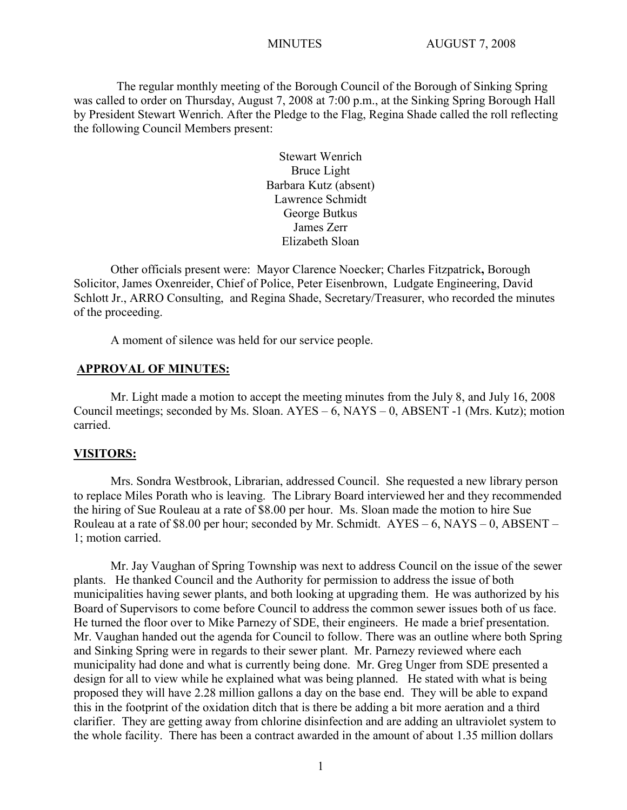The regular monthly meeting of the Borough Council of the Borough of Sinking Spring was called to order on Thursday, August 7, 2008 at 7:00 p.m., at the Sinking Spring Borough Hall by President Stewart Wenrich. After the Pledge to the Flag, Regina Shade called the roll reflecting the following Council Members present:

> Stewart Wenrich Bruce Light Barbara Kutz (absent) Lawrence Schmidt George Butkus James Zerr Elizabeth Sloan

Other officials present were: Mayor Clarence Noecker; Charles Fitzpatrick**,** Borough Solicitor, James Oxenreider, Chief of Police, Peter Eisenbrown, Ludgate Engineering, David Schlott Jr., ARRO Consulting, and Regina Shade, Secretary/Treasurer, who recorded the minutes of the proceeding.

A moment of silence was held for our service people.

#### **APPROVAL OF MINUTES:**

Mr. Light made a motion to accept the meeting minutes from the July 8, and July 16, 2008 Council meetings; seconded by Ms. Sloan.  $AYES - 6$ ,  $NAYS - 0$ ,  $ABSENT - 1$  (Mrs. Kutz); motion carried.

#### **VISITORS:**

Mrs. Sondra Westbrook, Librarian, addressed Council. She requested a new library person to replace Miles Porath who is leaving. The Library Board interviewed her and they recommended the hiring of Sue Rouleau at a rate of \$8.00 per hour. Ms. Sloan made the motion to hire Sue Rouleau at a rate of \$8.00 per hour; seconded by Mr. Schmidt.  $AYES - 6$ ,  $NAYS - 0$ ,  $ABSENT - 1$ 1; motion carried.

Mr. Jay Vaughan of Spring Township was next to address Council on the issue of the sewer plants. He thanked Council and the Authority for permission to address the issue of both municipalities having sewer plants, and both looking at upgrading them. He was authorized by his Board of Supervisors to come before Council to address the common sewer issues both of us face. He turned the floor over to Mike Parnezy of SDE, their engineers. He made a brief presentation. Mr. Vaughan handed out the agenda for Council to follow. There was an outline where both Spring and Sinking Spring were in regards to their sewer plant. Mr. Parnezy reviewed where each municipality had done and what is currently being done. Mr. Greg Unger from SDE presented a design for all to view while he explained what was being planned. He stated with what is being proposed they will have 2.28 million gallons a day on the base end. They will be able to expand this in the footprint of the oxidation ditch that is there be adding a bit more aeration and a third clarifier. They are getting away from chlorine disinfection and are adding an ultraviolet system to the whole facility. There has been a contract awarded in the amount of about 1.35 million dollars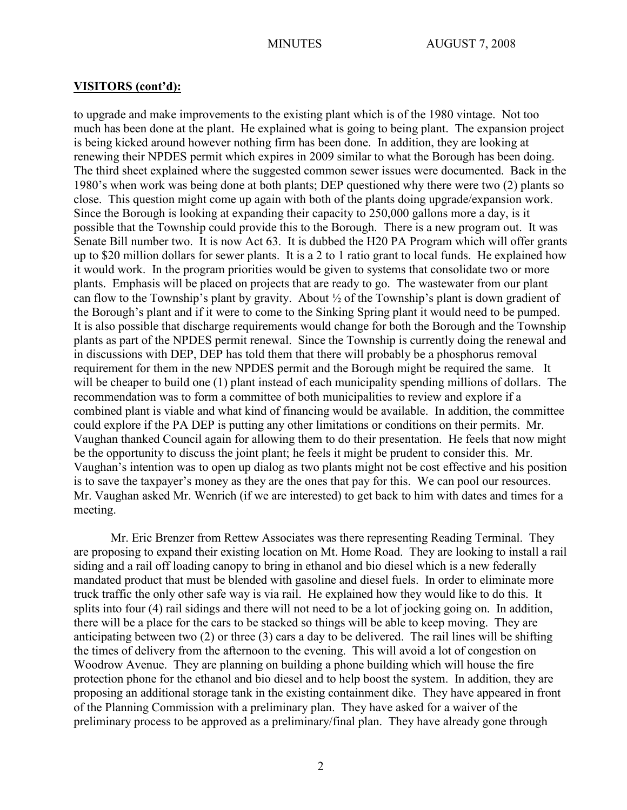to upgrade and make improvements to the existing plant which is of the 1980 vintage. Not too much has been done at the plant. He explained what is going to being plant. The expansion project is being kicked around however nothing firm has been done. In addition, they are looking at renewing their NPDES permit which expires in 2009 similar to what the Borough has been doing. The third sheet explained where the suggested common sewer issues were documented. Back in the 1980's when work was being done at both plants; DEP questioned why there were two (2) plants so close. This question might come up again with both of the plants doing upgrade/expansion work. Since the Borough is looking at expanding their capacity to 250,000 gallons more a day, is it possible that the Township could provide this to the Borough. There is a new program out. It was Senate Bill number two. It is now Act 63. It is dubbed the H20 PA Program which will offer grants up to \$20 million dollars for sewer plants. It is a 2 to 1 ratio grant to local funds. He explained how it would work. In the program priorities would be given to systems that consolidate two or more plants. Emphasis will be placed on projects that are ready to go. The wastewater from our plant can flow to the Township's plant by gravity. About  $\frac{1}{2}$  of the Township's plant is down gradient of the Borough's plant and if it were to come to the Sinking Spring plant it would need to be pumped. It is also possible that discharge requirements would change for both the Borough and the Township plants as part of the NPDES permit renewal. Since the Township is currently doing the renewal and in discussions with DEP, DEP has told them that there will probably be a phosphorus removal requirement for them in the new NPDES permit and the Borough might be required the same. It will be cheaper to build one (1) plant instead of each municipality spending millions of dollars. The recommendation was to form a committee of both municipalities to review and explore if a combined plant is viable and what kind of financing would be available. In addition, the committee could explore if the PA DEP is putting any other limitations or conditions on their permits. Mr. Vaughan thanked Council again for allowing them to do their presentation. He feels that now might be the opportunity to discuss the joint plant; he feels it might be prudent to consider this. Mr. Vaughan's intention was to open up dialog as two plants might not be cost effective and his position is to save the taxpayer's money as they are the ones that pay for this. We can pool our resources. Mr. Vaughan asked Mr. Wenrich (if we are interested) to get back to him with dates and times for a meeting.

Mr. Eric Brenzer from Rettew Associates was there representing Reading Terminal. They are proposing to expand their existing location on Mt. Home Road. They are looking to install a rail siding and a rail off loading canopy to bring in ethanol and bio diesel which is a new federally mandated product that must be blended with gasoline and diesel fuels. In order to eliminate more truck traffic the only other safe way is via rail. He explained how they would like to do this. It splits into four (4) rail sidings and there will not need to be a lot of jocking going on. In addition, there will be a place for the cars to be stacked so things will be able to keep moving. They are anticipating between two (2) or three (3) cars a day to be delivered. The rail lines will be shifting the times of delivery from the afternoon to the evening. This will avoid a lot of congestion on Woodrow Avenue. They are planning on building a phone building which will house the fire protection phone for the ethanol and bio diesel and to help boost the system. In addition, they are proposing an additional storage tank in the existing containment dike. They have appeared in front of the Planning Commission with a preliminary plan. They have asked for a waiver of the preliminary process to be approved as a preliminary/final plan. They have already gone through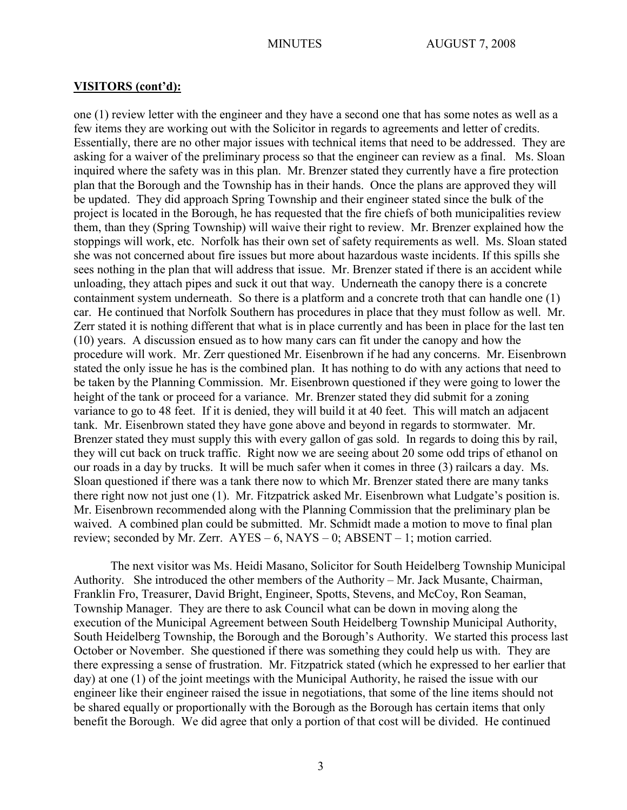one (1) review letter with the engineer and they have a second one that has some notes as well as a few items they are working out with the Solicitor in regards to agreements and letter of credits. Essentially, there are no other major issues with technical items that need to be addressed. They are asking for a waiver of the preliminary process so that the engineer can review as a final. Ms. Sloan inquired where the safety was in this plan. Mr. Brenzer stated they currently have a fire protection plan that the Borough and the Township has in their hands. Once the plans are approved they will be updated. They did approach Spring Township and their engineer stated since the bulk of the project is located in the Borough, he has requested that the fire chiefs of both municipalities review them, than they (Spring Township) will waive their right to review. Mr. Brenzer explained how the stoppings will work, etc. Norfolk has their own set of safety requirements as well. Ms. Sloan stated she was not concerned about fire issues but more about hazardous waste incidents. If this spills she sees nothing in the plan that will address that issue. Mr. Brenzer stated if there is an accident while unloading, they attach pipes and suck it out that way. Underneath the canopy there is a concrete containment system underneath. So there is a platform and a concrete troth that can handle one (1) car. He continued that Norfolk Southern has procedures in place that they must follow as well. Mr. Zerr stated it is nothing different that what is in place currently and has been in place for the last ten (10) years. A discussion ensued as to how many cars can fit under the canopy and how the procedure will work. Mr. Zerr questioned Mr. Eisenbrown if he had any concerns. Mr. Eisenbrown stated the only issue he has is the combined plan. It has nothing to do with any actions that need to be taken by the Planning Commission. Mr. Eisenbrown questioned if they were going to lower the height of the tank or proceed for a variance. Mr. Brenzer stated they did submit for a zoning variance to go to 48 feet. If it is denied, they will build it at 40 feet. This will match an adjacent tank. Mr. Eisenbrown stated they have gone above and beyond in regards to stormwater. Mr. Brenzer stated they must supply this with every gallon of gas sold. In regards to doing this by rail, they will cut back on truck traffic. Right now we are seeing about 20 some odd trips of ethanol on our roads in a day by trucks. It will be much safer when it comes in three (3) railcars a day. Ms. Sloan questioned if there was a tank there now to which Mr. Brenzer stated there are many tanks there right now not just one (1). Mr. Fitzpatrick asked Mr. Eisenbrown what Ludgate's position is. Mr. Eisenbrown recommended along with the Planning Commission that the preliminary plan be waived. A combined plan could be submitted. Mr. Schmidt made a motion to move to final plan review; seconded by Mr. Zerr.  $AYES - 6$ ,  $NAYS - 0$ ;  $ABSENT - 1$ ; motion carried.

The next visitor was Ms. Heidi Masano, Solicitor for South Heidelberg Township Municipal Authority. She introduced the other members of the Authority – Mr. Jack Musante, Chairman, Franklin Fro, Treasurer, David Bright, Engineer, Spotts, Stevens, and McCoy, Ron Seaman, Township Manager. They are there to ask Council what can be down in moving along the execution of the Municipal Agreement between South Heidelberg Township Municipal Authority, South Heidelberg Township, the Borough and the Borough's Authority. We started this process last October or November. She questioned if there was something they could help us with. They are there expressing a sense of frustration. Mr. Fitzpatrick stated (which he expressed to her earlier that day) at one (1) of the joint meetings with the Municipal Authority, he raised the issue with our engineer like their engineer raised the issue in negotiations, that some of the line items should not be shared equally or proportionally with the Borough as the Borough has certain items that only benefit the Borough. We did agree that only a portion of that cost will be divided. He continued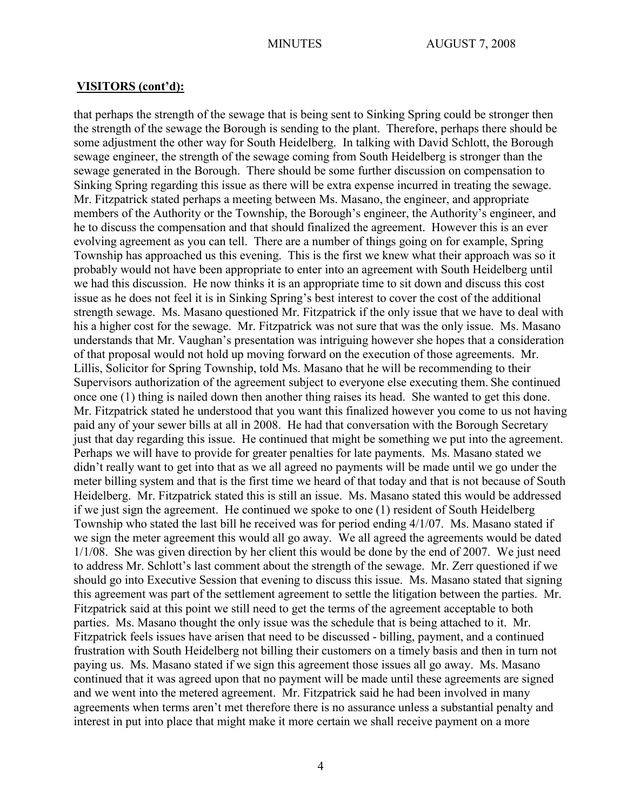that perhaps the strength of the sewage that is being sent to Sinking Spring could be stronger then the strength of the sewage the Borough is sending to the plant. Therefore, perhaps there should be some adjustment the other way for South Heidelberg. In talking with David Schlott, the Borough sewage engineer, the strength of the sewage coming from South Heidelberg is stronger than the sewage generated in the Borough. There should be some further discussion on compensation to Sinking Spring regarding this issue as there will be extra expense incurred in treating the sewage. Mr. Fitzpatrick stated perhaps a meeting between Ms. Masano, the engineer, and appropriate members of the Authority or the Township, the Borough's engineer, the Authority's engineer, and he to discuss the compensation and that should finalized the agreement. However this is an ever evolving agreement as you can tell. There are a number of things going on for example, Spring Township has approached us this evening. This is the first we knew what their approach was so it probably would not have been appropriate to enter into an agreement with South Heidelberg until we had this discussion. He now thinks it is an appropriate time to sit down and discuss this cost issue as he does not feel it is in Sinking Spring's best interest to cover the cost of the additional strength sewage. Ms. Masano questioned Mr. Fitzpatrick if the only issue that we have to deal with his a higher cost for the sewage. Mr. Fitzpatrick was not sure that was the only issue. Ms. Masano understands that Mr. Vaughan's presentation was intriguing however she hopes that a consideration of that proposal would not hold up moving forward on the execution of those agreements. Mr. Lillis, Solicitor for Spring Township, told Ms. Masano that he will be recommending to their Supervisors authorization of the agreement subject to everyone else executing them. She continued once one (1) thing is nailed down then another thing raises its head. She wanted to get this done. Mr. Fitzpatrick stated he understood that you want this finalized however you come to us not having paid any of your sewer bills at all in 2008. He had that conversation with the Borough Secretary just that day regarding this issue. He continued that might be something we put into the agreement. Perhaps we will have to provide for greater penalties for late payments. Ms. Masano stated we didn't really want to get into that as we all agreed no payments will be made until we go under the meter billing system and that is the first time we heard of that today and that is not because of South Heidelberg. Mr. Fitzpatrick stated this is still an issue. Ms. Masano stated this would be addressed if we just sign the agreement. He continued we spoke to one (1) resident of South Heidelberg Township who stated the last bill he received was for period ending 4/1/07. Ms. Masano stated if we sign the meter agreement this would all go away. We all agreed the agreements would be dated 1/1/08. She was given direction by her client this would be done by the end of 2007. We just need to address Mr. Schlott's last comment about the strength of the sewage. Mr. Zerr questioned if we should go into Executive Session that evening to discuss this issue. Ms. Masano stated that signing this agreement was part of the settlement agreement to settle the litigation between the parties. Mr. Fitzpatrick said at this point we still need to get the terms of the agreement acceptable to both parties. Ms. Masano thought the only issue was the schedule that is being attached to it. Mr. Fitzpatrick feels issues have arisen that need to be discussed - billing, payment, and a continued frustration with South Heidelberg not billing their customers on a timely basis and then in turn not paying us. Ms. Masano stated if we sign this agreement those issues all go away. Ms. Masano continued that it was agreed upon that no payment will be made until these agreements are signed and we went into the metered agreement. Mr. Fitzpatrick said he had been involved in many agreements when terms aren't met therefore there is no assurance unless a substantial penalty and interest in put into place that might make it more certain we shall receive payment on a more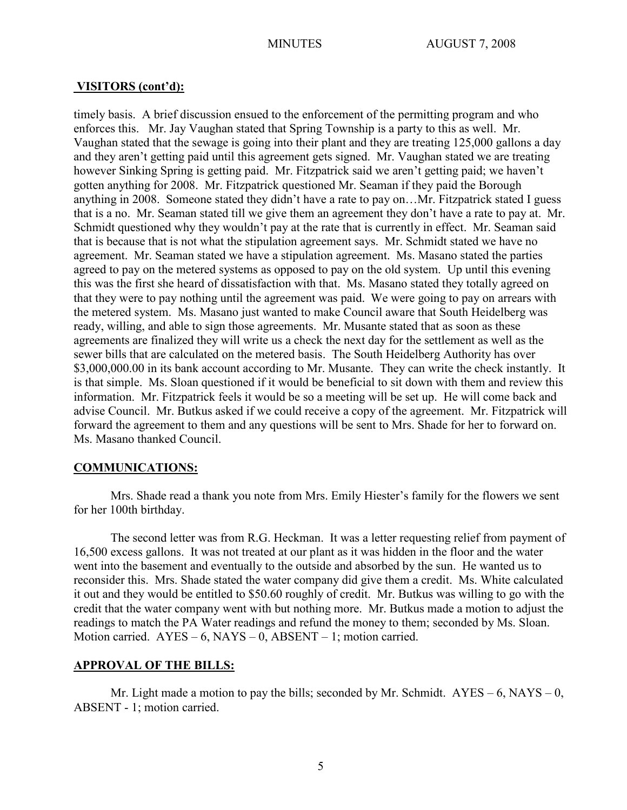timely basis. A brief discussion ensued to the enforcement of the permitting program and who enforces this. Mr. Jay Vaughan stated that Spring Township is a party to this as well. Mr. Vaughan stated that the sewage is going into their plant and they are treating 125,000 gallons a day and they aren't getting paid until this agreement gets signed. Mr. Vaughan stated we are treating however Sinking Spring is getting paid. Mr. Fitzpatrick said we aren't getting paid; we haven't gotten anything for 2008. Mr. Fitzpatrick questioned Mr. Seaman if they paid the Borough anything in 2008. Someone stated they didn't have a rate to pay on…Mr. Fitzpatrick stated I guess that is a no. Mr. Seaman stated till we give them an agreement they don't have a rate to pay at. Mr. Schmidt questioned why they wouldn't pay at the rate that is currently in effect. Mr. Seaman said that is because that is not what the stipulation agreement says. Mr. Schmidt stated we have no agreement. Mr. Seaman stated we have a stipulation agreement. Ms. Masano stated the parties agreed to pay on the metered systems as opposed to pay on the old system. Up until this evening this was the first she heard of dissatisfaction with that. Ms. Masano stated they totally agreed on that they were to pay nothing until the agreement was paid. We were going to pay on arrears with the metered system. Ms. Masano just wanted to make Council aware that South Heidelberg was ready, willing, and able to sign those agreements. Mr. Musante stated that as soon as these agreements are finalized they will write us a check the next day for the settlement as well as the sewer bills that are calculated on the metered basis. The South Heidelberg Authority has over \$3,000,000.00 in its bank account according to Mr. Musante. They can write the check instantly. It is that simple. Ms. Sloan questioned if it would be beneficial to sit down with them and review this information. Mr. Fitzpatrick feels it would be so a meeting will be set up. He will come back and advise Council. Mr. Butkus asked if we could receive a copy of the agreement. Mr. Fitzpatrick will forward the agreement to them and any questions will be sent to Mrs. Shade for her to forward on. Ms. Masano thanked Council.

## **COMMUNICATIONS:**

Mrs. Shade read a thank you note from Mrs. Emily Hiester's family for the flowers we sent for her 100th birthday.

The second letter was from R.G. Heckman. It was a letter requesting relief from payment of 16,500 excess gallons. It was not treated at our plant as it was hidden in the floor and the water went into the basement and eventually to the outside and absorbed by the sun. He wanted us to reconsider this. Mrs. Shade stated the water company did give them a credit. Ms. White calculated it out and they would be entitled to \$50.60 roughly of credit. Mr. Butkus was willing to go with the credit that the water company went with but nothing more. Mr. Butkus made a motion to adjust the readings to match the PA Water readings and refund the money to them; seconded by Ms. Sloan. Motion carried.  $AYES - 6$ ,  $NAYS - 0$ ,  $ABSENT - 1$ ; motion carried.

# **APPROVAL OF THE BILLS:**

Mr. Light made a motion to pay the bills; seconded by Mr. Schmidt.  $AYES - 6$ ,  $NAYS - 0$ , ABSENT - 1; motion carried.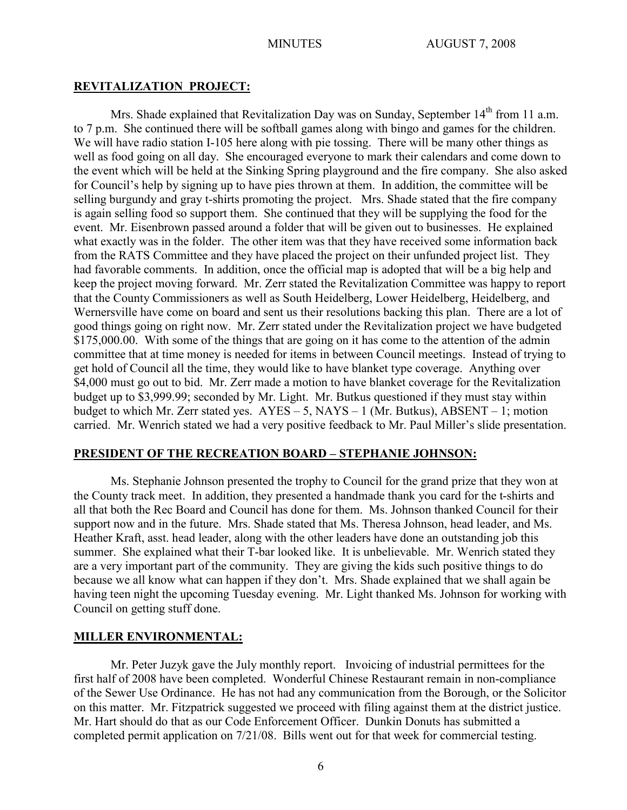#### **REVITALIZATION PROJECT:**

Mrs. Shade explained that Revitalization Day was on Sunday, September  $14<sup>th</sup>$  from 11 a.m. to 7 p.m. She continued there will be softball games along with bingo and games for the children. We will have radio station I-105 here along with pie tossing. There will be many other things as well as food going on all day. She encouraged everyone to mark their calendars and come down to the event which will be held at the Sinking Spring playground and the fire company. She also asked for Council's help by signing up to have pies thrown at them. In addition, the committee will be selling burgundy and gray t-shirts promoting the project. Mrs. Shade stated that the fire company is again selling food so support them. She continued that they will be supplying the food for the event. Mr. Eisenbrown passed around a folder that will be given out to businesses. He explained what exactly was in the folder. The other item was that they have received some information back from the RATS Committee and they have placed the project on their unfunded project list. They had favorable comments. In addition, once the official map is adopted that will be a big help and keep the project moving forward. Mr. Zerr stated the Revitalization Committee was happy to report that the County Commissioners as well as South Heidelberg, Lower Heidelberg, Heidelberg, and Wernersville have come on board and sent us their resolutions backing this plan. There are a lot of good things going on right now. Mr. Zerr stated under the Revitalization project we have budgeted \$175,000.00. With some of the things that are going on it has come to the attention of the admin committee that at time money is needed for items in between Council meetings. Instead of trying to get hold of Council all the time, they would like to have blanket type coverage. Anything over \$4,000 must go out to bid. Mr. Zerr made a motion to have blanket coverage for the Revitalization budget up to \$3,999.99; seconded by Mr. Light. Mr. Butkus questioned if they must stay within budget to which Mr. Zerr stated yes.  $AYES - 5$ , NAYS – 1 (Mr. Butkus), ABSENT – 1; motion carried. Mr. Wenrich stated we had a very positive feedback to Mr. Paul Miller's slide presentation.

#### **PRESIDENT OF THE RECREATION BOARD – STEPHANIE JOHNSON:**

Ms. Stephanie Johnson presented the trophy to Council for the grand prize that they won at the County track meet. In addition, they presented a handmade thank you card for the t-shirts and all that both the Rec Board and Council has done for them. Ms. Johnson thanked Council for their support now and in the future. Mrs. Shade stated that Ms. Theresa Johnson, head leader, and Ms. Heather Kraft, asst. head leader, along with the other leaders have done an outstanding job this summer. She explained what their T-bar looked like. It is unbelievable. Mr. Wenrich stated they are a very important part of the community. They are giving the kids such positive things to do because we all know what can happen if they don't. Mrs. Shade explained that we shall again be having teen night the upcoming Tuesday evening. Mr. Light thanked Ms. Johnson for working with Council on getting stuff done.

## **MILLER ENVIRONMENTAL:**

Mr. Peter Juzyk gave the July monthly report. Invoicing of industrial permittees for the first half of 2008 have been completed. Wonderful Chinese Restaurant remain in non-compliance of the Sewer Use Ordinance. He has not had any communication from the Borough, or the Solicitor on this matter. Mr. Fitzpatrick suggested we proceed with filing against them at the district justice. Mr. Hart should do that as our Code Enforcement Officer. Dunkin Donuts has submitted a completed permit application on 7/21/08. Bills went out for that week for commercial testing.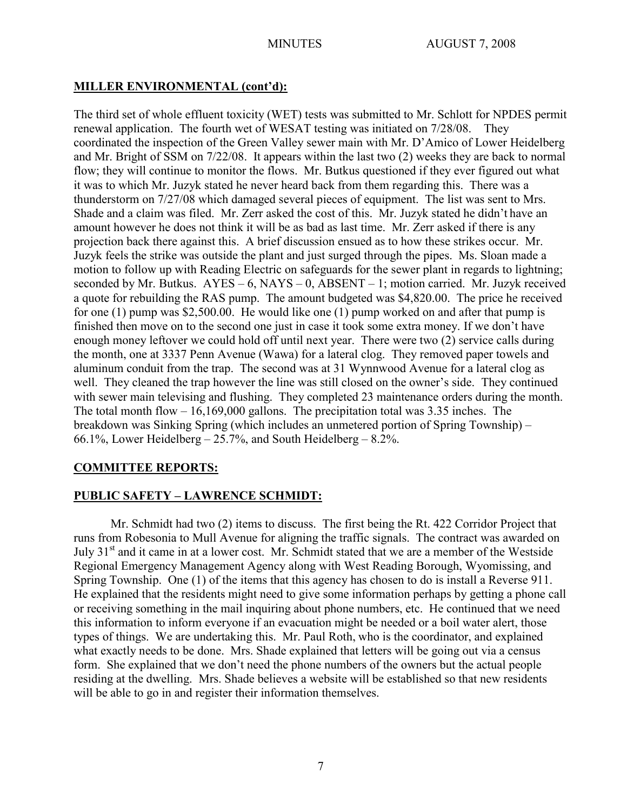# **MILLER ENVIRONMENTAL (cont'd):**

The third set of whole effluent toxicity (WET) tests was submitted to Mr. Schlott for NPDES permit renewal application. The fourth wet of WESAT testing was initiated on 7/28/08. They coordinated the inspection of the Green Valley sewer main with Mr. D'Amico of Lower Heidelberg and Mr. Bright of SSM on 7/22/08. It appears within the last two (2) weeks they are back to normal flow; they will continue to monitor the flows. Mr. Butkus questioned if they ever figured out what it was to which Mr. Juzyk stated he never heard back from them regarding this. There was a thunderstorm on 7/27/08 which damaged several pieces of equipment. The list was sent to Mrs. Shade and a claim was filed. Mr. Zerr asked the cost of this. Mr. Juzyk stated he didn't have an amount however he does not think it will be as bad as last time. Mr. Zerr asked if there is any projection back there against this. A brief discussion ensued as to how these strikes occur. Mr. Juzyk feels the strike was outside the plant and just surged through the pipes. Ms. Sloan made a motion to follow up with Reading Electric on safeguards for the sewer plant in regards to lightning; seconded by Mr. Butkus.  $AYES - 6$ ,  $NAYS - 0$ ,  $ABSENT - 1$ ; motion carried. Mr. Juzyk received a quote for rebuilding the RAS pump. The amount budgeted was \$4,820.00. The price he received for one (1) pump was \$2,500.00. He would like one (1) pump worked on and after that pump is finished then move on to the second one just in case it took some extra money. If we don't have enough money leftover we could hold off until next year. There were two (2) service calls during the month, one at 3337 Penn Avenue (Wawa) for a lateral clog. They removed paper towels and aluminum conduit from the trap. The second was at 31 Wynnwood Avenue for a lateral clog as well. They cleaned the trap however the line was still closed on the owner's side. They continued with sewer main televising and flushing. They completed 23 maintenance orders during the month. The total month flow – 16,169,000 gallons. The precipitation total was 3.35 inches. The breakdown was Sinking Spring (which includes an unmetered portion of Spring Township) – 66.1%, Lower Heidelberg  $-25.7%$ , and South Heidelberg  $-8.2%$ .

# **COMMITTEE REPORTS:**

# **PUBLIC SAFETY – LAWRENCE SCHMIDT:**

Mr. Schmidt had two (2) items to discuss. The first being the Rt. 422 Corridor Project that runs from Robesonia to Mull Avenue for aligning the traffic signals. The contract was awarded on July 31<sup>st</sup> and it came in at a lower cost. Mr. Schmidt stated that we are a member of the Westside Regional Emergency Management Agency along with West Reading Borough, Wyomissing, and Spring Township. One (1) of the items that this agency has chosen to do is install a Reverse 911. He explained that the residents might need to give some information perhaps by getting a phone call or receiving something in the mail inquiring about phone numbers, etc. He continued that we need this information to inform everyone if an evacuation might be needed or a boil water alert, those types of things. We are undertaking this. Mr. Paul Roth, who is the coordinator, and explained what exactly needs to be done. Mrs. Shade explained that letters will be going out via a census form. She explained that we don't need the phone numbers of the owners but the actual people residing at the dwelling. Mrs. Shade believes a website will be established so that new residents will be able to go in and register their information themselves.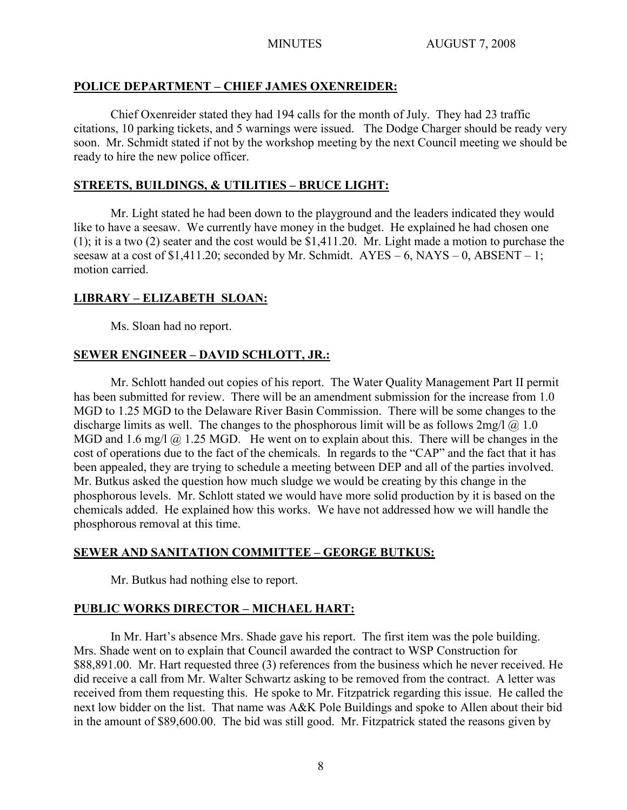# **POLICE DEPARTMENT – CHIEF JAMES OXENREIDER:**

Chief Oxenreider stated they had 194 calls for the month of July. They had 23 traffic citations, 10 parking tickets, and 5 warnings were issued. The Dodge Charger should be ready very soon. Mr. Schmidt stated if not by the workshop meeting by the next Council meeting we should be ready to hire the new police officer.

# **STREETS, BUILDINGS, & UTILITIES – BRUCE LIGHT:**

Mr. Light stated he had been down to the playground and the leaders indicated they would like to have a seesaw. We currently have money in the budget. He explained he had chosen one (1); it is a two (2) seater and the cost would be \$1,411.20. Mr. Light made a motion to purchase the seesaw at a cost of \$1,411.20; seconded by Mr. Schmidt.  $AYES - 6$ ,  $NAYS - 0$ ,  $ABSENT - 1$ ; motion carried.

# **LIBRARY – ELIZABETH SLOAN:**

Ms. Sloan had no report.

# **SEWER ENGINEER – DAVID SCHLOTT, JR.:**

Mr. Schlott handed out copies of his report. The Water Quality Management Part II permit has been submitted for review. There will be an amendment submission for the increase from 1.0 MGD to 1.25 MGD to the Delaware River Basin Commission. There will be some changes to the discharge limits as well. The changes to the phosphorous limit will be as follows  $2mg/|\omega|$  1.0 MGD and 1.6 mg/l  $\omega$  1.25 MGD. He went on to explain about this. There will be changes in the cost of operations due to the fact of the chemicals. In regards to the "CAP" and the fact that it has been appealed, they are trying to schedule a meeting between DEP and all of the parties involved. Mr. Butkus asked the question how much sludge we would be creating by this change in the phosphorous levels. Mr. Schlott stated we would have more solid production by it is based on the chemicals added. He explained how this works. We have not addressed how we will handle the phosphorous removal at this time.

# **SEWER AND SANITATION COMMITTEE – GEORGE BUTKUS:**

Mr. Butkus had nothing else to report.

# **PUBLIC WORKS DIRECTOR – MICHAEL HART:**

In Mr. Hart's absence Mrs. Shade gave his report. The first item was the pole building. Mrs. Shade went on to explain that Council awarded the contract to WSP Construction for \$88,891.00. Mr. Hart requested three (3) references from the business which he never received. He did receive a call from Mr. Walter Schwartz asking to be removed from the contract. A letter was received from them requesting this. He spoke to Mr. Fitzpatrick regarding this issue. He called the next low bidder on the list. That name was A&K Pole Buildings and spoke to Allen about their bid in the amount of \$89,600.00. The bid was still good. Mr. Fitzpatrick stated the reasons given by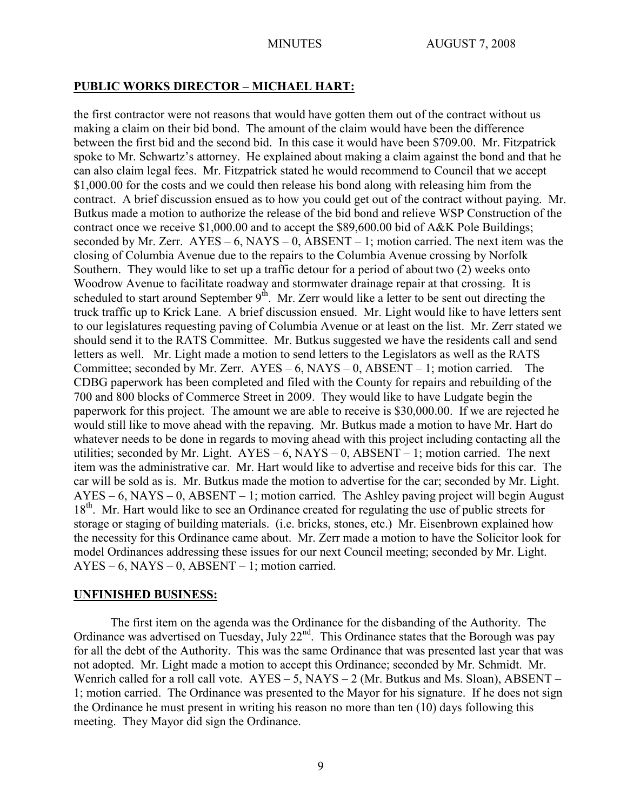## **PUBLIC WORKS DIRECTOR – MICHAEL HART:**

the first contractor were not reasons that would have gotten them out of the contract without us making a claim on their bid bond. The amount of the claim would have been the difference between the first bid and the second bid. In this case it would have been \$709.00. Mr. Fitzpatrick spoke to Mr. Schwartz's attorney. He explained about making a claim against the bond and that he can also claim legal fees. Mr. Fitzpatrick stated he would recommend to Council that we accept \$1,000.00 for the costs and we could then release his bond along with releasing him from the contract. A brief discussion ensued as to how you could get out of the contract without paying. Mr. Butkus made a motion to authorize the release of the bid bond and relieve WSP Construction of the contract once we receive \$1,000.00 and to accept the \$89,600.00 bid of A&K Pole Buildings; seconded by Mr. Zerr.  $AYES - 6$ ,  $NAYS - 0$ ,  $ABSENT - 1$ ; motion carried. The next item was the closing of Columbia Avenue due to the repairs to the Columbia Avenue crossing by Norfolk Southern. They would like to set up a traffic detour for a period of about two (2) weeks onto Woodrow Avenue to facilitate roadway and stormwater drainage repair at that crossing. It is scheduled to start around September  $9<sup>th</sup>$ . Mr. Zerr would like a letter to be sent out directing the truck traffic up to Krick Lane. A brief discussion ensued. Mr. Light would like to have letters sent to our legislatures requesting paving of Columbia Avenue or at least on the list. Mr. Zerr stated we should send it to the RATS Committee. Mr. Butkus suggested we have the residents call and send letters as well. Mr. Light made a motion to send letters to the Legislators as well as the RATS Committee; seconded by Mr. Zerr.  $AYES - 6$ ,  $NAYS - 0$ ,  $ABSENT - 1$ ; motion carried. The CDBG paperwork has been completed and filed with the County for repairs and rebuilding of the 700 and 800 blocks of Commerce Street in 2009. They would like to have Ludgate begin the paperwork for this project. The amount we are able to receive is \$30,000.00. If we are rejected he would still like to move ahead with the repaving. Mr. Butkus made a motion to have Mr. Hart do whatever needs to be done in regards to moving ahead with this project including contacting all the utilities; seconded by Mr. Light.  $AYES - 6$ ,  $NAYS - 0$ ,  $ABSENT - 1$ ; motion carried. The next item was the administrative car. Mr. Hart would like to advertise and receive bids for this car. The car will be sold as is. Mr. Butkus made the motion to advertise for the car; seconded by Mr. Light.  $AYES - 6$ , NAYS – 0, ABSENT – 1; motion carried. The Ashley paving project will begin August 18<sup>th</sup>. Mr. Hart would like to see an Ordinance created for regulating the use of public streets for storage or staging of building materials. (i.e. bricks, stones, etc.) Mr. Eisenbrown explained how the necessity for this Ordinance came about. Mr. Zerr made a motion to have the Solicitor look for model Ordinances addressing these issues for our next Council meeting; seconded by Mr. Light.  $AYES - 6$ ,  $NAYS - 0$ ,  $ABSENT - 1$ ; motion carried.

## **UNFINISHED BUSINESS:**

The first item on the agenda was the Ordinance for the disbanding of the Authority. The Ordinance was advertised on Tuesday, July  $22<sup>nd</sup>$ . This Ordinance states that the Borough was pay for all the debt of the Authority. This was the same Ordinance that was presented last year that was not adopted. Mr. Light made a motion to accept this Ordinance; seconded by Mr. Schmidt. Mr. Wenrich called for a roll call vote.  $AYES - 5$ ,  $NAYS - 2$  (Mr. Butkus and Ms. Sloan),  $ABSENT -$ 1; motion carried. The Ordinance was presented to the Mayor for his signature. If he does not sign the Ordinance he must present in writing his reason no more than ten (10) days following this meeting. They Mayor did sign the Ordinance.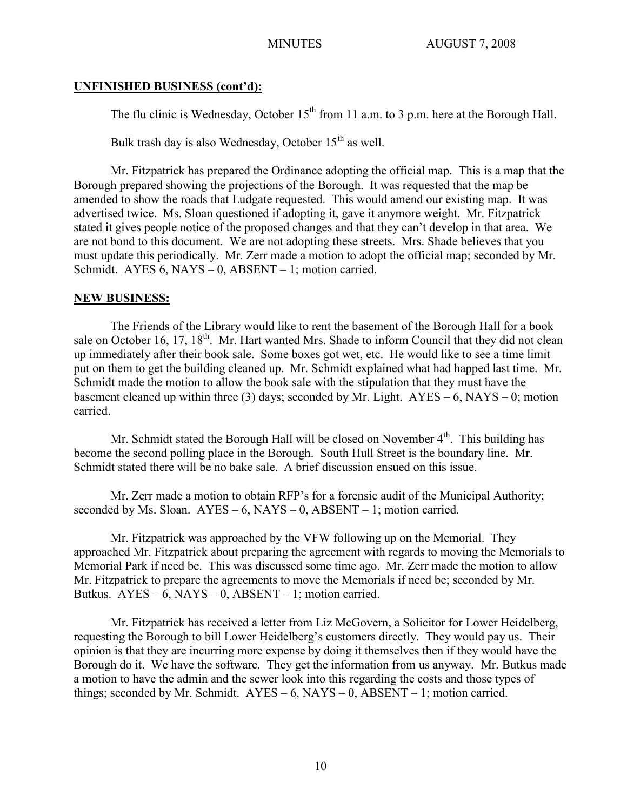## **UNFINISHED BUSINESS (cont'd):**

The flu clinic is Wednesday, October  $15<sup>th</sup>$  from 11 a.m. to 3 p.m. here at the Borough Hall.

Bulk trash day is also Wednesday, October  $15<sup>th</sup>$  as well.

Mr. Fitzpatrick has prepared the Ordinance adopting the official map. This is a map that the Borough prepared showing the projections of the Borough. It was requested that the map be amended to show the roads that Ludgate requested. This would amend our existing map. It was advertised twice. Ms. Sloan questioned if adopting it, gave it anymore weight. Mr. Fitzpatrick stated it gives people notice of the proposed changes and that they can't develop in that area. We are not bond to this document. We are not adopting these streets. Mrs. Shade believes that you must update this periodically. Mr. Zerr made a motion to adopt the official map; seconded by Mr. Schmidt. AYES  $6$ , NAYS  $-0$ , ABSENT  $-1$ ; motion carried.

## **NEW BUSINESS:**

The Friends of the Library would like to rent the basement of the Borough Hall for a book sale on October 16, 17, 18<sup>th</sup>. Mr. Hart wanted Mrs. Shade to inform Council that they did not clean up immediately after their book sale. Some boxes got wet, etc. He would like to see a time limit put on them to get the building cleaned up. Mr. Schmidt explained what had happed last time. Mr. Schmidt made the motion to allow the book sale with the stipulation that they must have the basement cleaned up within three (3) days; seconded by Mr. Light.  $AYES - 6$ ,  $NAYS - 0$ ; motion carried.

Mr. Schmidt stated the Borough Hall will be closed on November 4<sup>th</sup>. This building has become the second polling place in the Borough. South Hull Street is the boundary line. Mr. Schmidt stated there will be no bake sale. A brief discussion ensued on this issue.

Mr. Zerr made a motion to obtain RFP's for a forensic audit of the Municipal Authority; seconded by Ms. Sloan.  $AYES - 6$ ,  $NAYS - 0$ ,  $ABSENT - 1$ ; motion carried.

Mr. Fitzpatrick was approached by the VFW following up on the Memorial. They approached Mr. Fitzpatrick about preparing the agreement with regards to moving the Memorials to Memorial Park if need be. This was discussed some time ago. Mr. Zerr made the motion to allow Mr. Fitzpatrick to prepare the agreements to move the Memorials if need be; seconded by Mr. Butkus.  $AYES - 6$ ,  $NAYS - 0$ ,  $ABSENT - 1$ ; motion carried.

Mr. Fitzpatrick has received a letter from Liz McGovern, a Solicitor for Lower Heidelberg, requesting the Borough to bill Lower Heidelberg's customers directly. They would pay us. Their opinion is that they are incurring more expense by doing it themselves then if they would have the Borough do it. We have the software. They get the information from us anyway. Mr. Butkus made a motion to have the admin and the sewer look into this regarding the costs and those types of things; seconded by Mr. Schmidt.  $AYES - 6$ ,  $NAYS - 0$ ,  $ABSENT - 1$ ; motion carried.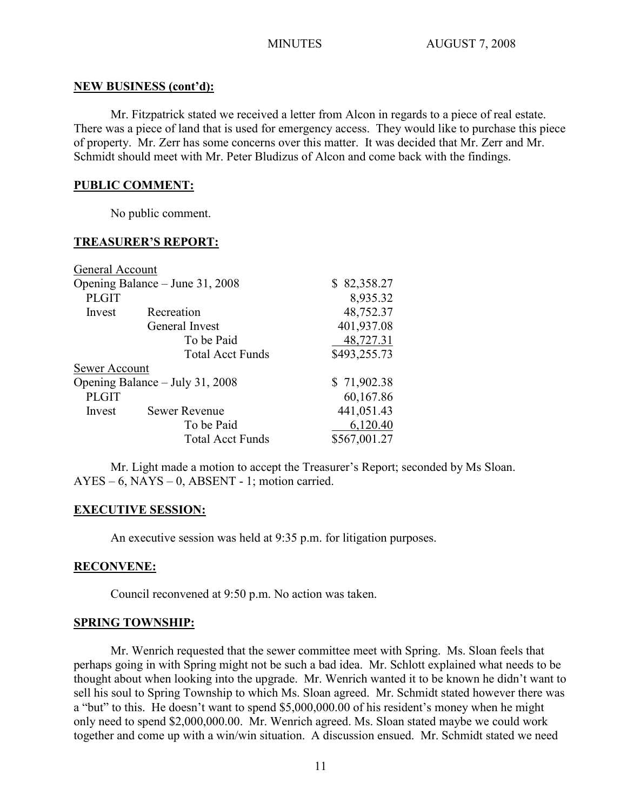## **NEW BUSINESS (cont'd):**

Mr. Fitzpatrick stated we received a letter from Alcon in regards to a piece of real estate. There was a piece of land that is used for emergency access. They would like to purchase this piece of property. Mr. Zerr has some concerns over this matter. It was decided that Mr. Zerr and Mr. Schmidt should meet with Mr. Peter Bludizus of Alcon and come back with the findings.

# **PUBLIC COMMENT:**

No public comment.

## **TREASURER'S REPORT:**

| General Account                 |                         |              |
|---------------------------------|-------------------------|--------------|
| Opening Balance – June 31, 2008 |                         | \$82,358.27  |
| <b>PLGIT</b>                    |                         | 8,935.32     |
| Invest                          | Recreation              | 48,752.37    |
|                                 | General Invest          | 401,937.08   |
|                                 | To be Paid              | 48,727.31    |
|                                 | <b>Total Acct Funds</b> | \$493,255.73 |
| Sewer Account                   |                         |              |
| Opening Balance - July 31, 2008 |                         | \$71,902.38  |
| <b>PLGIT</b>                    |                         | 60,167.86    |
| Invest                          | <b>Sewer Revenue</b>    | 441,051.43   |
|                                 | To be Paid              | 6,120.40     |
|                                 | <b>Total Acct Funds</b> | \$567,001.27 |

Mr. Light made a motion to accept the Treasurer's Report; seconded by Ms Sloan.  $AYES - 6$ ,  $NAYS - 0$ ,  $ABSENT - 1$ ; motion carried.

## **EXECUTIVE SESSION:**

An executive session was held at 9:35 p.m. for litigation purposes.

## **RECONVENE:**

Council reconvened at 9:50 p.m. No action was taken.

## **SPRING TOWNSHIP:**

Mr. Wenrich requested that the sewer committee meet with Spring. Ms. Sloan feels that perhaps going in with Spring might not be such a bad idea. Mr. Schlott explained what needs to be thought about when looking into the upgrade. Mr. Wenrich wanted it to be known he didn't want to sell his soul to Spring Township to which Ms. Sloan agreed. Mr. Schmidt stated however there was a "but" to this. He doesn't want to spend \$5,000,000.00 of his resident's money when he might only need to spend \$2,000,000.00. Mr. Wenrich agreed. Ms. Sloan stated maybe we could work together and come up with a win/win situation. A discussion ensued. Mr. Schmidt stated we need